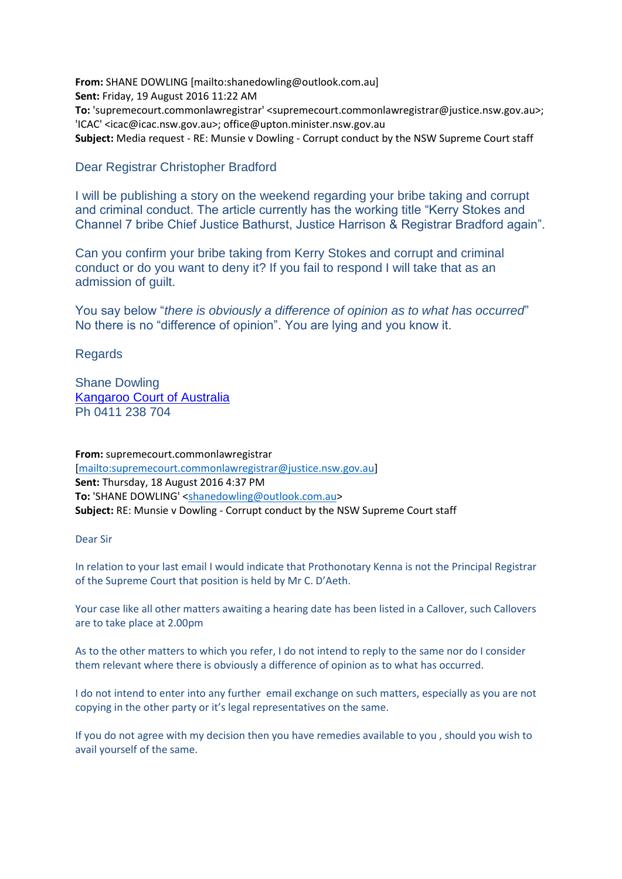**From:** SHANE DOWLING [mailto:shanedowling@outlook.com.au] **Sent:** Friday, 19 August 2016 11:22 AM **To:** 'supremecourt.commonlawregistrar' <supremecourt.commonlawregistrar@justice.nsw.gov.au>; 'ICAC' <icac@icac.nsw.gov.au>; office@upton.minister.nsw.gov.au **Subject:** Media request - RE: Munsie v Dowling - Corrupt conduct by the NSW Supreme Court staff

## Dear Registrar Christopher Bradford

I will be publishing a story on the weekend regarding your bribe taking and corrupt and criminal conduct. The article currently has the working title "Kerry Stokes and Channel 7 bribe Chief Justice Bathurst, Justice Harrison & Registrar Bradford again".

Can you confirm your bribe taking from Kerry Stokes and corrupt and criminal conduct or do you want to deny it? If you fail to respond I will take that as an admission of guilt.

You say below "*there is obviously a difference of opinion as to what has occurred*" No there is no "difference of opinion". You are lying and you know it.

Regards

Shane Dowling [Kangaroo Court of Australia](http://kangaroocourtofaustralia.com/) Ph 0411 238 704

**From:** supremecourt.commonlawregistrar [\[mailto:supremecourt.commonlawregistrar@justice.nsw.gov.au\]](mailto:supremecourt.commonlawregistrar@justice.nsw.gov.au) **Sent:** Thursday, 18 August 2016 4:37 PM **To:** 'SHANE DOWLING' [<shanedowling@outlook.com.au>](mailto:shanedowling@outlook.com.au) **Subject:** RE: Munsie v Dowling - Corrupt conduct by the NSW Supreme Court staff

Dear Sir

In relation to your last email I would indicate that Prothonotary Kenna is not the Principal Registrar of the Supreme Court that position is held by Mr C. D'Aeth.

Your case like all other matters awaiting a hearing date has been listed in a Callover, such Callovers are to take place at 2.00pm

As to the other matters to which you refer, I do not intend to reply to the same nor do I consider them relevant where there is obviously a difference of opinion as to what has occurred.

I do not intend to enter into any further email exchange on such matters, especially as you are not copying in the other party or it's legal representatives on the same.

If you do not agree with my decision then you have remedies available to you , should you wish to avail yourself of the same.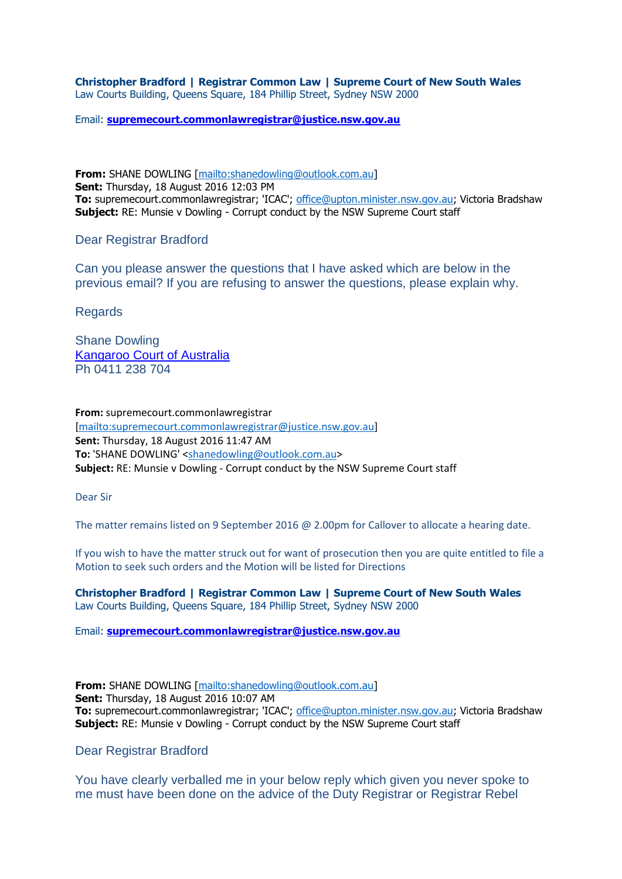**Christopher Bradford | Registrar Common Law | Supreme Court of New South Wales** Law Courts Building, Queens Square, 184 Phillip Street, Sydney NSW 2000

Email: **[supremecourt.commonlawregistrar@justice.nsw.gov.au](mailto:supremecourt.commonlawregistrar@justice.nsw.gov.au)**

**From:** SHANE DOWLING [\[mailto:shanedowling@outlook.com.au\]](mailto:shanedowling@outlook.com.au) **Sent:** Thursday, 18 August 2016 12:03 PM **To:** supremecourt.commonlawregistrar; 'ICAC'; [office@upton.minister.nsw.gov.au;](mailto:office@upton.minister.nsw.gov.au) Victoria Bradshaw **Subject:** RE: Munsie v Dowling - Corrupt conduct by the NSW Supreme Court staff

Dear Registrar Bradford

Can you please answer the questions that I have asked which are below in the previous email? If you are refusing to answer the questions, please explain why.

Regards

Shane Dowling [Kangaroo Court of Australia](http://kangaroocourtofaustralia.com/) Ph 0411 238 704

**From:** supremecourt.commonlawregistrar [\[mailto:supremecourt.commonlawregistrar@justice.nsw.gov.au\]](mailto:supremecourt.commonlawregistrar@justice.nsw.gov.au) **Sent:** Thursday, 18 August 2016 11:47 AM **To:** 'SHANE DOWLING' [<shanedowling@outlook.com.au>](mailto:shanedowling@outlook.com.au) **Subject:** RE: Munsie v Dowling - Corrupt conduct by the NSW Supreme Court staff

Dear Sir

The matter remains listed on 9 September 2016 @ 2.00pm for Callover to allocate a hearing date.

If you wish to have the matter struck out for want of prosecution then you are quite entitled to file a Motion to seek such orders and the Motion will be listed for Directions

**Christopher Bradford | Registrar Common Law | Supreme Court of New South Wales** Law Courts Building, Queens Square, 184 Phillip Street, Sydney NSW 2000

Email: **[supremecourt.commonlawregistrar@justice.nsw.gov.au](mailto:supremecourt.commonlawregistrar@justice.nsw.gov.au)**

**From:** SHANE DOWLING [\[mailto:shanedowling@outlook.com.au\]](mailto:shanedowling@outlook.com.au) **Sent:** Thursday, 18 August 2016 10:07 AM **To:** supremecourt.commonlawregistrar; 'ICAC'; [office@upton.minister.nsw.gov.au;](mailto:office@upton.minister.nsw.gov.au) Victoria Bradshaw **Subject:** RE: Munsie v Dowling - Corrupt conduct by the NSW Supreme Court staff

Dear Registrar Bradford

You have clearly verballed me in your below reply which given you never spoke to me must have been done on the advice of the Duty Registrar or Registrar Rebel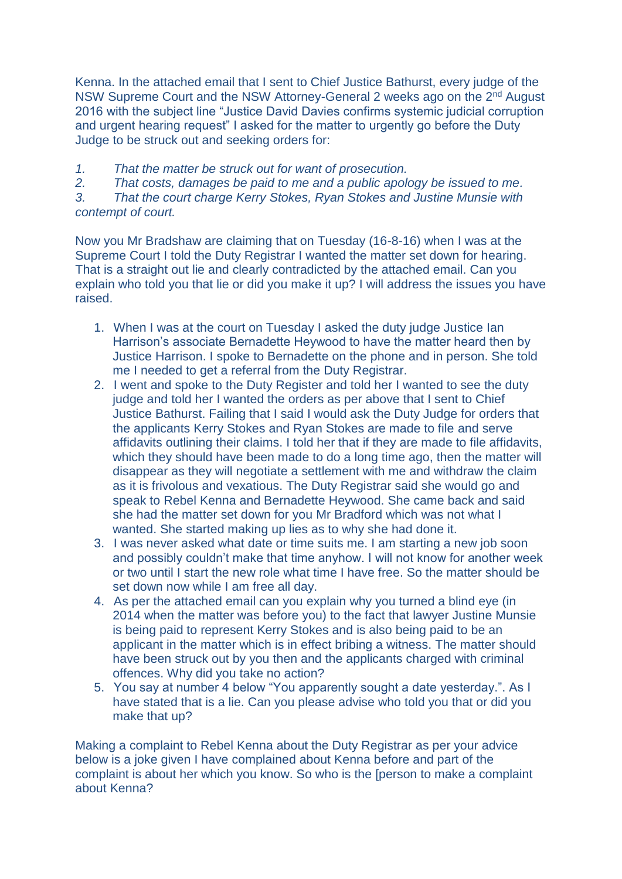Kenna. In the attached email that I sent to Chief Justice Bathurst, every judge of the NSW Supreme Court and the NSW Attorney-General 2 weeks ago on the 2nd August 2016 with the subject line "Justice David Davies confirms systemic judicial corruption and urgent hearing request" I asked for the matter to urgently go before the Duty Judge to be struck out and seeking orders for:

*1. That the matter be struck out for want of prosecution.*

*2. That costs, damages be paid to me and a public apology be issued to me.*

*3. That the court charge Kerry Stokes, Ryan Stokes and Justine Munsie with contempt of court.*

Now you Mr Bradshaw are claiming that on Tuesday (16-8-16) when I was at the Supreme Court I told the Duty Registrar I wanted the matter set down for hearing. That is a straight out lie and clearly contradicted by the attached email. Can you explain who told you that lie or did you make it up? I will address the issues you have raised.

- 1. When I was at the court on Tuesday I asked the duty judge Justice Ian Harrison's associate Bernadette Heywood to have the matter heard then by Justice Harrison. I spoke to Bernadette on the phone and in person. She told me I needed to get a referral from the Duty Registrar.
- 2. I went and spoke to the Duty Register and told her I wanted to see the duty judge and told her I wanted the orders as per above that I sent to Chief Justice Bathurst. Failing that I said I would ask the Duty Judge for orders that the applicants Kerry Stokes and Ryan Stokes are made to file and serve affidavits outlining their claims. I told her that if they are made to file affidavits, which they should have been made to do a long time ago, then the matter will disappear as they will negotiate a settlement with me and withdraw the claim as it is frivolous and vexatious. The Duty Registrar said she would go and speak to Rebel Kenna and Bernadette Heywood. She came back and said she had the matter set down for you Mr Bradford which was not what I wanted. She started making up lies as to why she had done it.
- 3. I was never asked what date or time suits me. I am starting a new job soon and possibly couldn't make that time anyhow. I will not know for another week or two until I start the new role what time I have free. So the matter should be set down now while I am free all day.
- 4. As per the attached email can you explain why you turned a blind eye (in 2014 when the matter was before you) to the fact that lawyer Justine Munsie is being paid to represent Kerry Stokes and is also being paid to be an applicant in the matter which is in effect bribing a witness. The matter should have been struck out by you then and the applicants charged with criminal offences. Why did you take no action?
- 5. You say at number 4 below "You apparently sought a date yesterday.". As I have stated that is a lie. Can you please advise who told you that or did you make that up?

Making a complaint to Rebel Kenna about the Duty Registrar as per your advice below is a joke given I have complained about Kenna before and part of the complaint is about her which you know. So who is the [person to make a complaint about Kenna?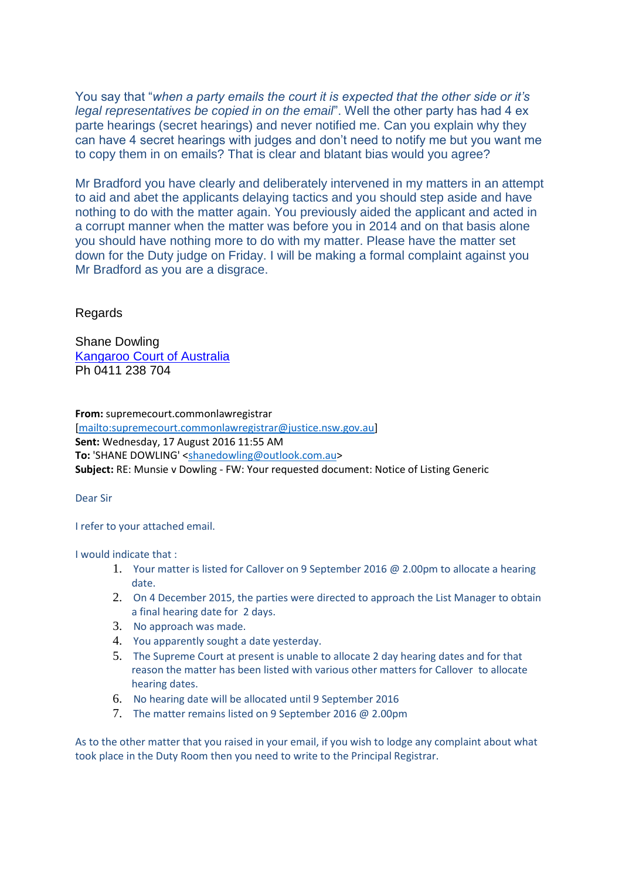You say that "*when a party emails the court it is expected that the other side or it's legal representatives be copied in on the email*". Well the other party has had 4 ex parte hearings (secret hearings) and never notified me. Can you explain why they can have 4 secret hearings with judges and don't need to notify me but you want me to copy them in on emails? That is clear and blatant bias would you agree?

Mr Bradford you have clearly and deliberately intervened in my matters in an attempt to aid and abet the applicants delaying tactics and you should step aside and have nothing to do with the matter again. You previously aided the applicant and acted in a corrupt manner when the matter was before you in 2014 and on that basis alone you should have nothing more to do with my matter. Please have the matter set down for the Duty judge on Friday. I will be making a formal complaint against you Mr Bradford as you are a disgrace.

## Regards

Shane Dowling [Kangaroo Court of Australia](http://kangaroocourtofaustralia.com/) Ph 0411 238 704

**From:** supremecourt.commonlawregistrar [\[mailto:supremecourt.commonlawregistrar@justice.nsw.gov.au\]](mailto:supremecourt.commonlawregistrar@justice.nsw.gov.au) **Sent:** Wednesday, 17 August 2016 11:55 AM **To:** 'SHANE DOWLING' [<shanedowling@outlook.com.au>](mailto:shanedowling@outlook.com.au) **Subject:** RE: Munsie v Dowling - FW: Your requested document: Notice of Listing Generic

## Dear Sir

I refer to your attached email.

I would indicate that :

- 1. Your matter is listed for Callover on 9 September 2016  $\omega$  2.00pm to allocate a hearing date.
- 2. On 4 December 2015, the parties were directed to approach the List Manager to obtain a final hearing date for 2 days.
- 3. No approach was made.
- 4. You apparently sought a date yesterday.
- 5. The Supreme Court at present is unable to allocate 2 day hearing dates and for that reason the matter has been listed with various other matters for Callover to allocate hearing dates.
- 6. No hearing date will be allocated until 9 September 2016
- 7. The matter remains listed on 9 September 2016 @ 2.00pm

As to the other matter that you raised in your email, if you wish to lodge any complaint about what took place in the Duty Room then you need to write to the Principal Registrar.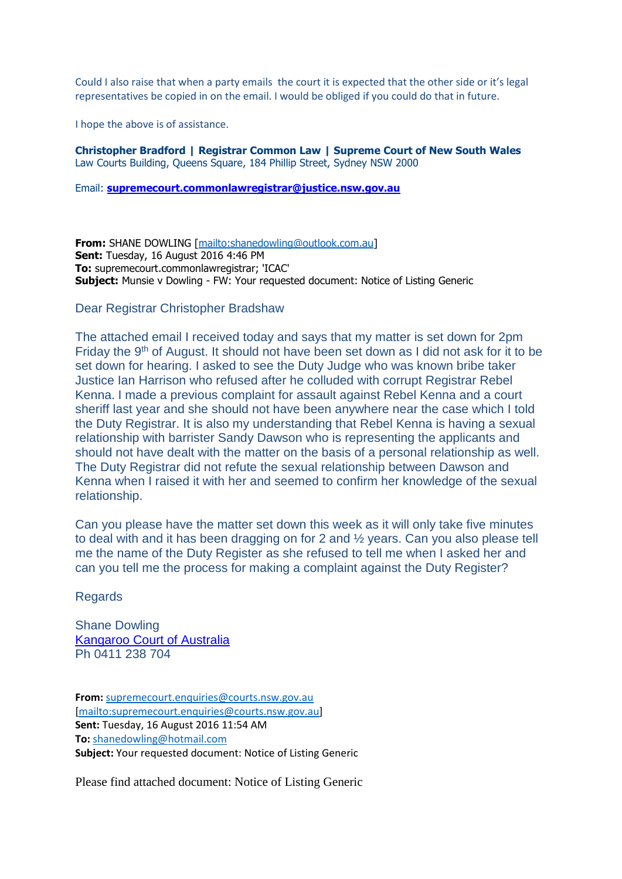Could I also raise that when a party emails the court it is expected that the other side or it's legal representatives be copied in on the email. I would be obliged if you could do that in future.

I hope the above is of assistance.

**Christopher Bradford | Registrar Common Law | Supreme Court of New South Wales** Law Courts Building, Queens Square, 184 Phillip Street, Sydney NSW 2000

Email: **[supremecourt.commonlawregistrar@justice.nsw.gov.au](mailto:supremecourt.commonlawregistrar@justice.nsw.gov.au)**

**From:** SHANE DOWLING [\[mailto:shanedowling@outlook.com.au\]](mailto:shanedowling@outlook.com.au) **Sent:** Tuesday, 16 August 2016 4:46 PM **To:** supremecourt.commonlawregistrar; 'ICAC' **Subject:** Munsie v Dowling - FW: Your requested document: Notice of Listing Generic

Dear Registrar Christopher Bradshaw

The attached email I received today and says that my matter is set down for 2pm Friday the 9th of August. It should not have been set down as I did not ask for it to be set down for hearing. I asked to see the Duty Judge who was known bribe taker Justice Ian Harrison who refused after he colluded with corrupt Registrar Rebel Kenna. I made a previous complaint for assault against Rebel Kenna and a court sheriff last year and she should not have been anywhere near the case which I told the Duty Registrar. It is also my understanding that Rebel Kenna is having a sexual relationship with barrister Sandy Dawson who is representing the applicants and should not have dealt with the matter on the basis of a personal relationship as well. The Duty Registrar did not refute the sexual relationship between Dawson and Kenna when I raised it with her and seemed to confirm her knowledge of the sexual relationship.

Can you please have the matter set down this week as it will only take five minutes to deal with and it has been dragging on for 2 and ½ years. Can you also please tell me the name of the Duty Register as she refused to tell me when I asked her and can you tell me the process for making a complaint against the Duty Register?

Regards

Shane Dowling [Kangaroo Court of Australia](http://kangaroocourtofaustralia.com/) Ph 0411 238 704

**From:** [supremecourt.enquiries@courts.nsw.gov.au](mailto:supremecourt.enquiries@courts.nsw.gov.au) [\[mailto:supremecourt.enquiries@courts.nsw.gov.au\]](mailto:supremecourt.enquiries@courts.nsw.gov.au) **Sent:** Tuesday, 16 August 2016 11:54 AM **To:** [shanedowling@hotmail.com](mailto:shanedowling@hotmail.com) **Subject:** Your requested document: Notice of Listing Generic

Please find attached document: Notice of Listing Generic